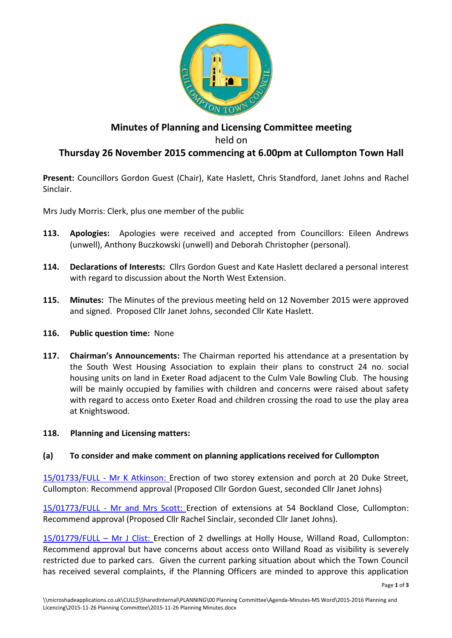

# **Minutes of Planning and Licensing Committee meeting** held on **Thursday 26 November 2015 commencing at 6.00pm at Cullompton Town Hall**

**Present:** Councillors Gordon Guest (Chair), Kate Haslett, Chris Standford, Janet Johns and Rachel Sinclair.

Mrs Judy Morris: Clerk, plus one member of the public

- **113. Apologies:** Apologies were received and accepted from Councillors: Eileen Andrews (unwell), Anthony Buczkowski (unwell) and Deborah Christopher (personal).
- **114. Declarations of Interests:** Cllrs Gordon Guest and Kate Haslett declared a personal interest with regard to discussion about the North West Extension.
- **115. Minutes:** The Minutes of the previous meeting held on 12 November 2015 were approved and signed. Proposed Cllr Janet Johns, seconded Cllr Kate Haslett.

### **116. Public question time:** None

**117. Chairman's Announcements:** The Chairman reported his attendance at a presentation by the South West Housing Association to explain their plans to construct 24 no. social housing units on land in Exeter Road adjacent to the Culm Vale Bowling Club. The housing will be mainly occupied by families with children and concerns were raised about safety with regard to access onto Exeter Road and children crossing the road to use the play area at Knightswood.

### **118. Planning and Licensing matters:**

# **(a) To consider and make comment on planning applications received for Cullompton**

[15/01733/FULL -](http://docs.middevon.gov.uk/pap/index.asp?caseref=15/01733/FULL) Mr K Atkinson: Erection of two storey extension and porch at 20 Duke Street, Cullompton: Recommend approval (Proposed Cllr Gordon Guest, seconded Cllr Janet Johns)

15/01773/FULL - [Mr and Mrs Scott:](http://docs.middevon.gov.uk/pap/index.asp?caseref=15/01773/FULL) Erection of extensions at 54 Bockland Close, Cullompton: Recommend approval (Proposed Cllr Rachel Sinclair, seconded Cllr Janet Johns).

[15/01779/FULL](http://docs.middevon.gov.uk/pap/index.asp?caseref=15/01779/FULL) – Mr J Clist: Erection of 2 dwellings at Holly House, Willand Road, Cullompton: Recommend approval but have concerns about access onto Willand Road as visibility is severely restricted due to parked cars. Given the current parking situation about which the Town Council has received several complaints, if the Planning Officers are minded to approve this application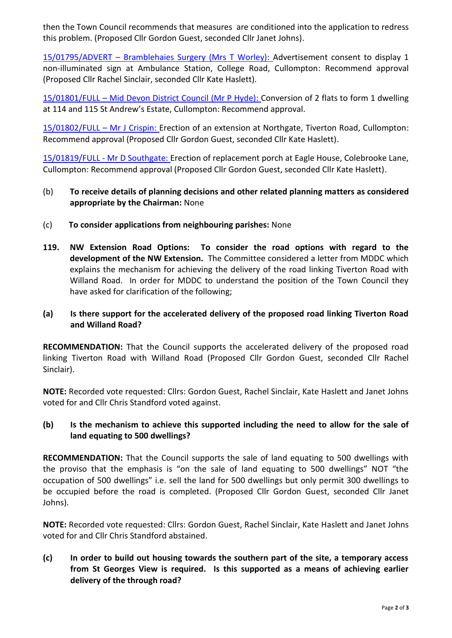then the Town Council recommends that measures are conditioned into the application to redress this problem. (Proposed Cllr Gordon Guest, seconded Cllr Janet Johns).

15/01795/ADVERT – [Bramblehaies Surgery \(Mrs T Worley\):](http://docs.middevon.gov.uk/pap/index.asp?caseref=15/01795/FULL) Advertisement consent to display 1 non-illuminated sign at Ambulance Station, College Road, Cullompton: Recommend approval (Proposed Cllr Rachel Sinclair, seconded Cllr Kate Haslett).

15/01801/FULL – [Mid Devon District Council \(Mr P Hyde\):](http://docs.middevon.gov.uk/pap/index.asp?caseref=15/01801/FULL) Conversion of 2 flats to form 1 dwelling at 114 and 115 St Andrew's Estate, Cullompton: Recommend approval.

[15/01802/FULL](http://docs.middevon.gov.uk/pap/index.asp?caseref=15/01802/FULL) – Mr J Crispin: Erection of an extension at Northgate, Tiverton Road, Cullompton: Recommend approval (Proposed Cllr Gordon Guest, seconded Cllr Kate Haslett).

[15/01819/FULL -](http://docs.middevon.gov.uk/pap/index.asp?caseref=15/01819/FULL) Mr D Southgate: Erection of replacement porch at Eagle House, Colebrooke Lane, Cullompton: Recommend approval (Proposed Cllr Gordon Guest, seconded Cllr Kate Haslett).

# (b) **To receive details of planning decisions and other related planning matters as considered appropriate by the Chairman:** None

- (c) **To consider applications from neighbouring parishes:** None
- **119. NW Extension Road Options: To consider the road options with regard to the development of the NW Extension.** The Committee considered a letter from MDDC which explains the mechanism for achieving the delivery of the road linking Tiverton Road with Willand Road. In order for MDDC to understand the position of the Town Council they have asked for clarification of the following;

# **(a) Is there support for the accelerated delivery of the proposed road linking Tiverton Road and Willand Road?**

**RECOMMENDATION:** That the Council supports the accelerated delivery of the proposed road linking Tiverton Road with Willand Road (Proposed Cllr Gordon Guest, seconded Cllr Rachel Sinclair).

**NOTE:** Recorded vote requested: Cllrs: Gordon Guest, Rachel Sinclair, Kate Haslett and Janet Johns voted for and Cllr Chris Standford voted against.

# **(b) Is the mechanism to achieve this supported including the need to allow for the sale of land equating to 500 dwellings?**

**RECOMMENDATION:** That the Council supports the sale of land equating to 500 dwellings with the proviso that the emphasis is "on the sale of land equating to 500 dwellings" NOT "the occupation of 500 dwellings" i.e. sell the land for 500 dwellings but only permit 300 dwellings to be occupied before the road is completed. (Proposed Cllr Gordon Guest, seconded Cllr Janet Johns).

**NOTE:** Recorded vote requested: Cllrs: Gordon Guest, Rachel Sinclair, Kate Haslett and Janet Johns voted for and Cllr Chris Standford abstained.

**(c) In order to build out housing towards the southern part of the site, a temporary access from St Georges View is required. Is this supported as a means of achieving earlier delivery of the through road?**